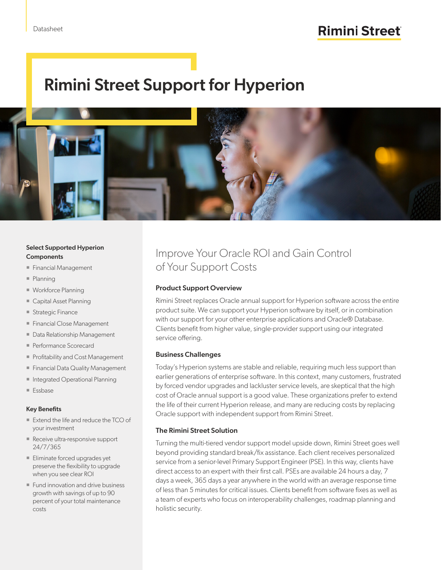# Rimini Street Support for Hyperion



#### Select Supported Hyperion Components

- Financial Management
- Planning
- **Workforce Planning**
- Capital Asset Planning
- Strategic Finance
- **Financial Close Management**
- **Data Relationship Management**
- Performance Scorecard
- Profitability and Cost Management
- **Financial Data Quality Management**
- **Integrated Operational Planning**
- Essbase

#### Key Benefits

- Extend the life and reduce the TCO of your investment
- Receive ultra-responsive support 24/7/365
- **Eliminate forced upgrades yet** preserve the flexibility to upgrade when you see clear ROI
- **Fund innovation and drive business** growth with savings of up to 90 percent of your total maintenance costs

### Improve Your Oracle ROI and Gain Control of Your Support Costs

#### Product Support Overview

Rimini Street replaces Oracle annual support for Hyperion software across the entire product suite. We can support your Hyperion software by itself, or in combination with our support for your other enterprise applications and Oracle® Database. Clients benefit from higher value, single-provider support using our integrated service offering.

#### Business Challenges

Today's Hyperion systems are stable and reliable, requiring much less support than earlier generations of enterprise software. In this context, many customers, frustrated by forced vendor upgrades and lackluster service levels, are skeptical that the high cost of Oracle annual support is a good value. These organizations prefer to extend the life of their current Hyperion release, and many are reducing costs by replacing Oracle support with independent support from Rimini Street.

#### The Rimini Street Solution

Turning the multi-tiered vendor support model upside down, Rimini Street goes well beyond providing standard break/fix assistance. Each client receives personalized service from a senior-level Primary Support Engineer (PSE). In this way, clients have direct access to an expert with their first call. PSEs are available 24 hours a day, 7 days a week, 365 days a year anywhere in the world with an average response time of less than 5 minutes for critical issues. Clients benefit from software fixes as well as a team of experts who focus on interoperability challenges, roadmap planning and holistic security.